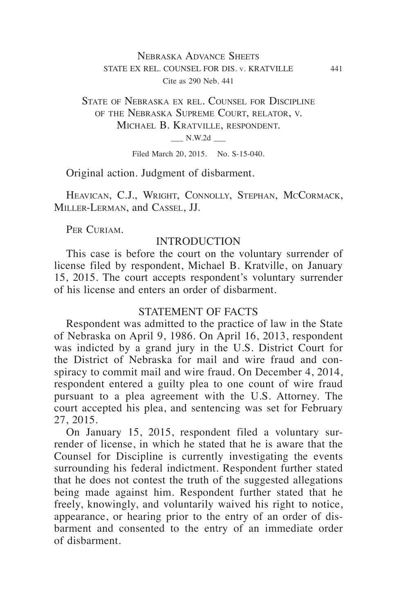# Nebraska Advance Sheets STATE EX REL. COUNSEL FOR DIS. v. KRATVILLE 441 Cite as 290 Neb. 441

## State of Nebraska ex rel. Counsel for Discipline of the Nebraska Supreme Court, relator, v. Michael B. Kratville, respondent.  $N.W.2d$   $\qquad$

Filed March 20, 2015. No. S-15-040.

Original action. Judgment of disbarment.

HEAVICAN, C.J., WRIGHT, CONNOLLY, STEPHAN, MCCORMACK, Miller‑Lerman, and Cassel, JJ.

PER CURIAM.

## INTRODUCTION

This case is before the court on the voluntary surrender of license filed by respondent, Michael B. Kratville, on January 15, 2015. The court accepts respondent's voluntary surrender of his license and enters an order of disbarment.

## STATEMENT OF FACTS

Respondent was admitted to the practice of law in the State of Nebraska on April 9, 1986. On April 16, 2013, respondent was indicted by a grand jury in the U.S. District Court for the District of Nebraska for mail and wire fraud and conspiracy to commit mail and wire fraud. On December 4, 2014, respondent entered a guilty plea to one count of wire fraud pursuant to a plea agreement with the U.S. Attorney. The court accepted his plea, and sentencing was set for February 27, 2015.

On January 15, 2015, respondent filed a voluntary surrender of license, in which he stated that he is aware that the Counsel for Discipline is currently investigating the events surrounding his federal indictment. Respondent further stated that he does not contest the truth of the suggested allegations being made against him. Respondent further stated that he freely, knowingly, and voluntarily waived his right to notice, appearance, or hearing prior to the entry of an order of disbarment and consented to the entry of an immediate order of disbarment.